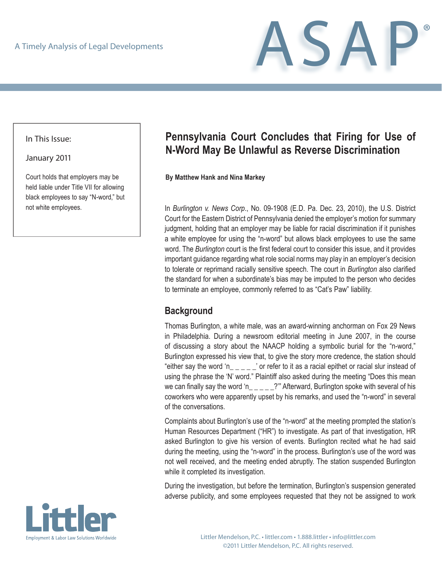

In This Issue:

January 2011

Court holds that employers may be held liable under Title VII for allowing black employees to say "N-word," but not white employees.

# **Pennsylvania Court Concludes that Firing for Use of N-Word May Be Unlawful as Reverse Discrimination**

**By Matthew Hank and Nina Markey**

In *Burlington v. News Corp*., No. 09-1908 (E.D. Pa. Dec. 23, 2010), the U.S. District Court for the Eastern District of Pennsylvania denied the employer's motion for summary judgment, holding that an employer may be liable for racial discrimination if it punishes a white employee for using the "n-word" but allows black employees to use the same word. The *Burlington* court is the first federal court to consider this issue, and it provides important guidance regarding what role social norms may play in an employer's decision to tolerate or reprimand racially sensitive speech. The court in *Burlington* also clarified the standard for when a subordinate's bias may be imputed to the person who decides to terminate an employee, commonly referred to as "Cat's Paw" liability.

#### **Background**

Thomas Burlington, a white male, was an award-winning anchorman on Fox 29 News in Philadelphia. During a newsroom editorial meeting in June 2007, in the course of discussing a story about the NAACP holding a symbolic burial for the "n-word," Burlington expressed his view that, to give the story more credence, the station should "either say the word 'n\_\_\_\_\_' or refer to it as a racial epithet or racial slur instead of using the phrase the 'N' word." Plaintiff also asked during the meeting "Does this mean we can finally say the word 'n\_\_\_\_\_?" Afterward, Burlington spoke with several of his coworkers who were apparently upset by his remarks, and used the "n-word" in several of the conversations.

Complaints about Burlington's use of the "n-word" at the meeting prompted the station's Human Resources Department ("HR") to investigate. As part of that investigation, HR asked Burlington to give his version of events. Burlington recited what he had said during the meeting, using the "n-word" in the process. Burlington's use of the word was not well received, and the meeting ended abruptly. The station suspended Burlington while it completed its investigation.

During the investigation, but before the termination, Burlington's suspension generated adverse publicity, and some employees requested that they not be assigned to work

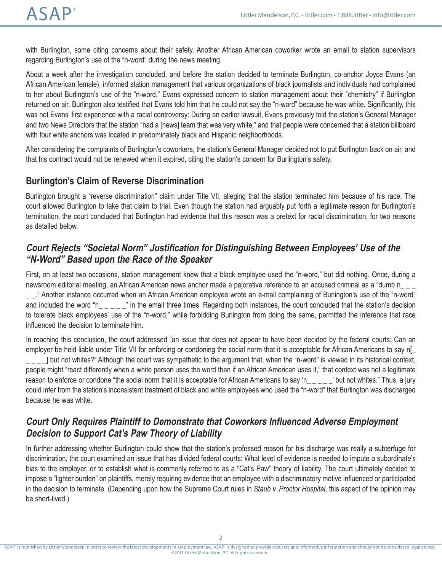with Burlington, some citing concerns about their safety. Another African American coworker wrote an email to station supervisors regarding Burlington's use of the "n-word" during the news meeting.

About a week after the investigation concluded, and before the station decided to terminate Burlington, co-anchor Joyce Evans (an African American female), informed station management that various organizations of black journalists and individuals had complained to her about Burlington's use of the "n-word." Evans expressed concern to station management about their "chemistry" if Burlington returned on air. Burlington also testified that Evans told him that he could not say the "n-word" because he was white. Significantly, this was not Evans' first experience with a racial controversy: During an earlier lawsuit, Evans previously told the station's General Manager and two News Directors that the station "had a [news] team that was very white," and that people were concerned that a station billboard with four white anchors was located in predominately black and Hispanic neighborhoods.

After considering the complaints of Burlington's coworkers, the station's General Manager decided not to put Burlington back on air, and that his contract would not be renewed when it expired, citing the station's concern for Burlington's safety.

### **Burlington's Claim of Reverse Discrimination**

Burlington brought a "reverse discrimination" claim under Title VII, alleging that the station terminated him because of his race. The court allowed Burlington to take that claim to trial. Even though the station had arguably put forth a legitimate reason for Burlington's termination, the court concluded that Burlington had evidence that this reason was a pretext for racial discrimination, for two reasons as detailed below.

### **Court Rejects "Societal Norm" Justification for Distinguishing Between Employees' Use of the "N-Word" Based upon the Race of the Speaker**

First, on at least two occasions, station management knew that a black employee used the "n-word," but did nothing. Once, during a newsroom editorial meeting, an African American news anchor made a pejorative reference to an accused criminal as a "dumb n\_ \_

\_ \_." Another instance occurred when an African American employee wrote an e-mail complaining of Burlington's use of the "n-word" and included the word "n\_\_\_\_" in the email three times. Regarding both instances, the court concluded that the station's decision to tolerate black employees' use of the "n-word," while forbidding Burlington from doing the same, permitted the inference that race influenced the decision to terminate him.

In reaching this conclusion, the court addressed "an issue that does not appear to have been decided by the federal courts: Can an employer be held liable under Title VII for enforcing or condoning the social norm that it is acceptable for African Americans to say n[\_  $\vert$  \_ \_ \_ ] but not whites?" Although the court was sympathetic to the argument that, when the "n-word" is viewed in its historical context, people might "react differently when a white person uses the word than if an African American uses it," that context was not a legitimate reason to enforce or condone "the social norm that it is acceptable for African Americans to say 'n\_\_\_\_' but not whites." Thus, a jury could infer from the station's inconsistent treatment of black and white employees who used the "n-word" that Burlington was discharged because he was white.

## **Court Only Requires Plaintiff to Demonstrate that Coworkers Influenced Adverse Employment Decision to Support Cat's Paw Theory of Liability**

In further addressing whether Burlington could show that the station's professed reason for his discharge was really a subterfuge for discrimination, the court examined an issue that has divided federal courts: What level of evidence is needed to impute a subordinate's bias to the employer, or to establish what is commonly referred to as a "Cat's Paw" theory of liability. The court ultimately decided to impose a "lighter burden" on plaintiffs, merely requiring evidence that an employee with a discriminatory motive influenced or participated in the decision to terminate. (Depending upon how the Supreme Court rules in *Staub v. Proctor Hospital*, this aspect of the opinion may be short-lived.)